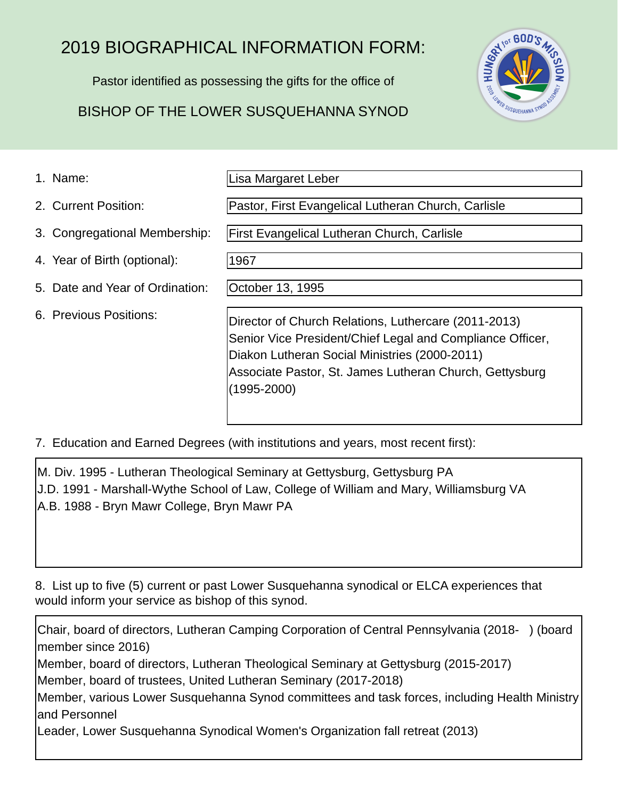# 2019 BIOGRAPHICAL INFORMATION FORM:

Pastor identified as possessing the gifts for the office of

## BISHOP OF THE LOWER SUSQUEHANNA SYNOD

1967



1. Name:

Lisa Margaret Leber

Pastor, First Evangelical Lutheran Church, Carlisle

First Evangelical Lutheran Church, Carlisle

- 4. Year of Birth (optional):
- 5. Date and Year of Ordination:

3. Congregational Membership:

6. Previous Positions:

2. Current Position:

October 13, 1995

Director of Church Relations, Luthercare (2011-2013) Senior Vice President/Chief Legal and Compliance Officer, Diakon Lutheran Social Ministries (2000-2011) Associate Pastor, St. James Lutheran Church, Gettysburg (1995-2000)

7. Education and Earned Degrees (with institutions and years, most recent first):

M. Div. 1995 - Lutheran Theological Seminary at Gettysburg, Gettysburg PA J.D. 1991 - Marshall-Wythe School of Law, College of William and Mary, Williamsburg VA A.B. 1988 - Bryn Mawr College, Bryn Mawr PA

8. List up to five (5) current or past Lower Susquehanna synodical or ELCA experiences that would inform your service as bishop of this synod.

Chair, board of directors, Lutheran Camping Corporation of Central Pennsylvania (2018- ) (board member since 2016) Member, board of directors, Lutheran Theological Seminary at Gettysburg (2015-2017) Member, board of trustees, United Lutheran Seminary (2017-2018) Member, various Lower Susquehanna Synod committees and task forces, including Health Ministry and Personnel Leader, Lower Susquehanna Synodical Women's Organization fall retreat (2013)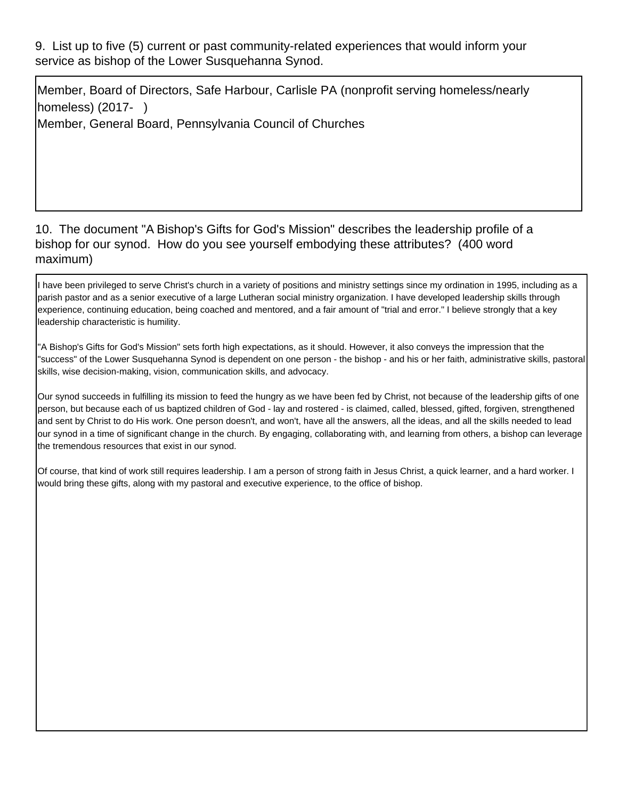9. List up to five (5) current or past community-related experiences that would inform your service as bishop of the Lower Susquehanna Synod.

Member, Board of Directors, Safe Harbour, Carlisle PA (nonprofit serving homeless/nearly homeless) (2017- )

Member, General Board, Pennsylvania Council of Churches

#### 10. The document "A Bishop's Gifts for God's Mission" describes the leadership profile of a bishop for our synod. How do you see yourself embodying these attributes? (400 word maximum)

I have been privileged to serve Christ's church in a variety of positions and ministry settings since my ordination in 1995, including as a parish pastor and as a senior executive of a large Lutheran social ministry organization. I have developed leadership skills through experience, continuing education, being coached and mentored, and a fair amount of "trial and error." I believe strongly that a key leadership characteristic is humility.

"A Bishop's Gifts for God's Mission" sets forth high expectations, as it should. However, it also conveys the impression that the "success" of the Lower Susquehanna Synod is dependent on one person - the bishop - and his or her faith, administrative skills, pastoral skills, wise decision-making, vision, communication skills, and advocacy.

Our synod succeeds in fulfilling its mission to feed the hungry as we have been fed by Christ, not because of the leadership gifts of one person, but because each of us baptized children of God - lay and rostered - is claimed, called, blessed, gifted, forgiven, strengthened and sent by Christ to do His work. One person doesn't, and won't, have all the answers, all the ideas, and all the skills needed to lead our synod in a time of significant change in the church. By engaging, collaborating with, and learning from others, a bishop can leverage the tremendous resources that exist in our synod.

Of course, that kind of work still requires leadership. I am a person of strong faith in Jesus Christ, a quick learner, and a hard worker. I would bring these gifts, along with my pastoral and executive experience, to the office of bishop.